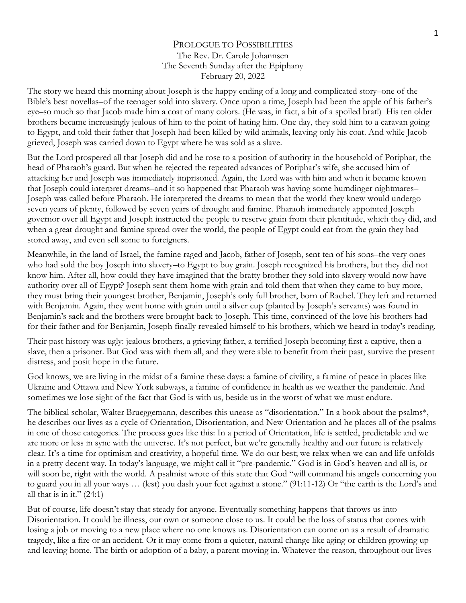## PROLOGUE TO POSSIBILITIES The Rev. Dr. Carole Johannsen The Seventh Sunday after the Epiphany February 20, 2022

The story we heard this morning about Joseph is the happy ending of a long and complicated story–one of the Bible's best novellas–of the teenager sold into slavery. Once upon a time, Joseph had been the apple of his father's eye–so much so that Jacob made him a coat of many colors. (He was, in fact, a bit of a spoiled brat!) His ten older brothers became increasingly jealous of him to the point of hating him. One day, they sold him to a caravan going to Egypt, and told their father that Joseph had been killed by wild animals, leaving only his coat. And while Jacob grieved, Joseph was carried down to Egypt where he was sold as a slave.

But the Lord prospered all that Joseph did and he rose to a position of authority in the household of Potiphar, the head of Pharaoh's guard. But when he rejected the repeated advances of Potiphar's wife, she accused him of attacking her and Joseph was immediately imprisoned. Again, the Lord was with him and when it became known that Joseph could interpret dreams–and it so happened that Pharaoh was having some humdinger nightmares– Joseph was called before Pharaoh. He interpreted the dreams to mean that the world they knew would undergo seven years of plenty, followed by seven years of drought and famine. Pharaoh immediately appointed Joseph governor over all Egypt and Joseph instructed the people to reserve grain from their plentitude, which they did, and when a great drought and famine spread over the world, the people of Egypt could eat from the grain they had stored away, and even sell some to foreigners.

Meanwhile, in the land of Israel, the famine raged and Jacob, father of Joseph, sent ten of his sons–the very ones who had sold the boy Joseph into slavery–to Egypt to buy grain. Joseph recognized his brothers, but they did not know him. After all, how could they have imagined that the bratty brother they sold into slavery would now have authority over all of Egypt? Joseph sent them home with grain and told them that when they came to buy more, they must bring their youngest brother, Benjamin, Joseph's only full brother, born of Rachel. They left and returned with Benjamin. Again, they went home with grain until a silver cup (planted by Joseph's servants) was found in Benjamin's sack and the brothers were brought back to Joseph. This time, convinced of the love his brothers had for their father and for Benjamin, Joseph finally revealed himself to his brothers, which we heard in today's reading.

Their past history was ugly: jealous brothers, a grieving father, a terrified Joseph becoming first a captive, then a slave, then a prisoner. But God was with them all, and they were able to benefit from their past, survive the present distress, and posit hope in the future.

God knows, we are living in the midst of a famine these days: a famine of civility, a famine of peace in places like Ukraine and Ottawa and New York subways, a famine of confidence in health as we weather the pandemic. And sometimes we lose sight of the fact that God is with us, beside us in the worst of what we must endure.

The biblical scholar, Walter Brueggemann, describes this unease as "disorientation." In a book about the psalms\*, he describes our lives as a cycle of Orientation, Disorientation, and New Orientation and he places all of the psalms in one of those categories. The process goes like this: In a period of Orientation, life is settled, predictable and we are more or less in sync with the universe. It's not perfect, but we're generally healthy and our future is relatively clear. It's a time for optimism and creativity, a hopeful time. We do our best; we relax when we can and life unfolds in a pretty decent way. In today's language, we might call it "pre-pandemic." God is in God's heaven and all is, or will soon be, right with the world. A psalmist wrote of this state that God "will command his angels concerning you to guard you in all your ways … (lest) you dash your feet against a stone." (91:11-12) Or "the earth is the Lord's and all that is in it." (24:1)

But of course, life doesn't stay that steady for anyone. Eventually something happens that throws us into Disorientation. It could be illness, our own or someone close to us. It could be the loss of status that comes with losing a job or moving to a new place where no one knows us. Disorientation can come on as a result of dramatic tragedy, like a fire or an accident. Or it may come from a quieter, natural change like aging or children growing up and leaving home. The birth or adoption of a baby, a parent moving in. Whatever the reason, throughout our lives